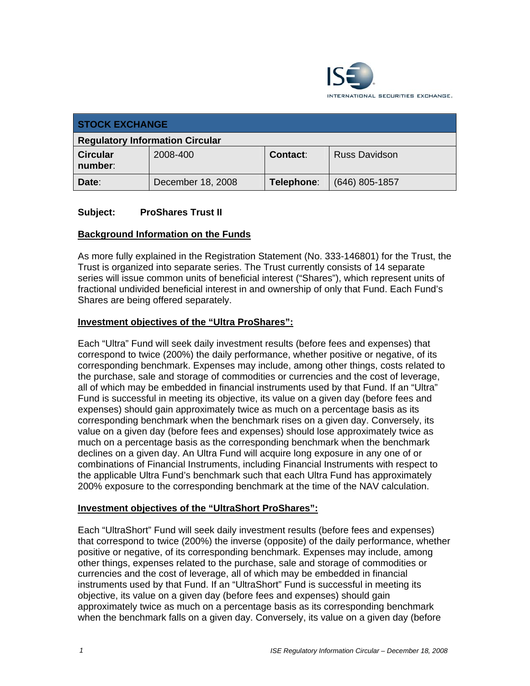

| <b>STOCK EXCHANGE</b>                  |                   |                 |                      |
|----------------------------------------|-------------------|-----------------|----------------------|
| <b>Regulatory Information Circular</b> |                   |                 |                      |
| <b>Circular</b><br>number:             | 2008-400          | <b>Contact:</b> | <b>Russ Davidson</b> |
| Date:                                  | December 18, 2008 | Telephone:      | (646) 805-1857       |

# **Subject: ProShares Trust II**

# **Background Information on the Funds**

As more fully explained in the Registration Statement (No. 333-146801) for the Trust, the Trust is organized into separate series. The Trust currently consists of 14 separate series will issue common units of beneficial interest ("Shares"), which represent units of fractional undivided beneficial interest in and ownership of only that Fund. Each Fund's Shares are being offered separately.

# **Investment objectives of the "Ultra ProShares":**

Each "Ultra" Fund will seek daily investment results (before fees and expenses) that correspond to twice (200%) the daily performance, whether positive or negative, of its corresponding benchmark. Expenses may include, among other things, costs related to the purchase, sale and storage of commodities or currencies and the cost of leverage, all of which may be embedded in financial instruments used by that Fund. If an "Ultra" Fund is successful in meeting its objective, its value on a given day (before fees and expenses) should gain approximately twice as much on a percentage basis as its corresponding benchmark when the benchmark rises on a given day. Conversely, its value on a given day (before fees and expenses) should lose approximately twice as much on a percentage basis as the corresponding benchmark when the benchmark declines on a given day. An Ultra Fund will acquire long exposure in any one of or combinations of Financial Instruments, including Financial Instruments with respect to the applicable Ultra Fund's benchmark such that each Ultra Fund has approximately 200% exposure to the corresponding benchmark at the time of the NAV calculation.

#### **Investment objectives of the "UltraShort ProShares":**

Each "UltraShort" Fund will seek daily investment results (before fees and expenses) that correspond to twice (200%) the inverse (opposite) of the daily performance, whether positive or negative, of its corresponding benchmark. Expenses may include, among other things, expenses related to the purchase, sale and storage of commodities or currencies and the cost of leverage, all of which may be embedded in financial instruments used by that Fund. If an "UltraShort" Fund is successful in meeting its objective, its value on a given day (before fees and expenses) should gain approximately twice as much on a percentage basis as its corresponding benchmark when the benchmark falls on a given day. Conversely, its value on a given day (before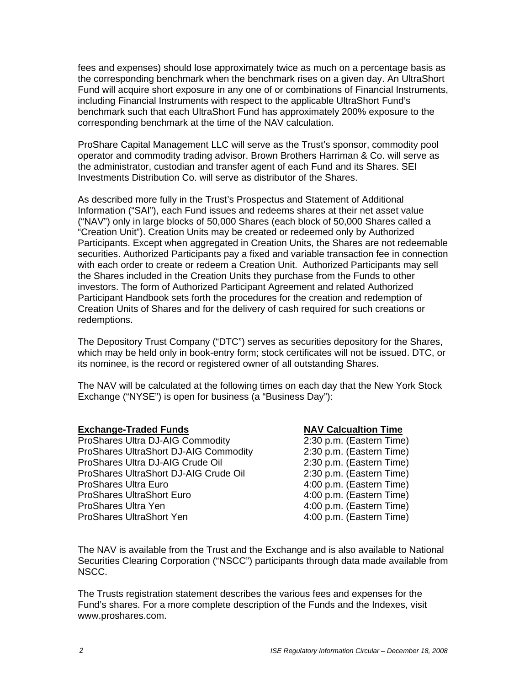fees and expenses) should lose approximately twice as much on a percentage basis as the corresponding benchmark when the benchmark rises on a given day. An UltraShort Fund will acquire short exposure in any one of or combinations of Financial Instruments, including Financial Instruments with respect to the applicable UltraShort Fund's benchmark such that each UltraShort Fund has approximately 200% exposure to the corresponding benchmark at the time of the NAV calculation.

ProShare Capital Management LLC will serve as the Trust's sponsor, commodity pool operator and commodity trading advisor. Brown Brothers Harriman & Co. will serve as the administrator, custodian and transfer agent of each Fund and its Shares. SEI Investments Distribution Co. will serve as distributor of the Shares.

As described more fully in the Trust's Prospectus and Statement of Additional Information ("SAI"), each Fund issues and redeems shares at their net asset value ("NAV") only in large blocks of 50,000 Shares (each block of 50,000 Shares called a "Creation Unit"). Creation Units may be created or redeemed only by Authorized Participants. Except when aggregated in Creation Units, the Shares are not redeemable securities. Authorized Participants pay a fixed and variable transaction fee in connection with each order to create or redeem a Creation Unit. Authorized Participants may sell the Shares included in the Creation Units they purchase from the Funds to other investors. The form of Authorized Participant Agreement and related Authorized Participant Handbook sets forth the procedures for the creation and redemption of Creation Units of Shares and for the delivery of cash required for such creations or redemptions.

The Depository Trust Company ("DTC") serves as securities depository for the Shares, which may be held only in book-entry form; stock certificates will not be issued. DTC, or its nominee, is the record or registered owner of all outstanding Shares.

The NAV will be calculated at the following times on each day that the New York Stock Exchange ("NYSE") is open for business (a "Business Day"):

#### **Exchange-Traded Funds NAV Calcualtion Time**

ProShares Ultra DJ-AIG Commodity 2:30 p.m. (Eastern Time) ProShares UltraShort DJ-AIG Commodity 2:30 p.m. (Eastern Time) ProShares Ultra DJ-AIG Crude Oil 2:30 p.m. (Eastern Time) ProShares UltraShort DJ-AIG Crude Oil 2:30 p.m. (Eastern Time) ProShares Ultra Euro 4:00 p.m. (Eastern Time) ProShares UltraShort Euro 4:00 p.m. (Eastern Time) ProShares Ultra Yen **4:00 p.m. (Eastern Time)** ProShares UltraShort Yen 1990 1990 1991 1991 4:00 p.m. (Eastern Time)

The NAV is available from the Trust and the Exchange and is also available to National Securities Clearing Corporation ("NSCC") participants through data made available from NSCC.

The Trusts registration statement describes the various fees and expenses for the Fund's shares. For a more complete description of the Funds and the Indexes, visit www.proshares.com.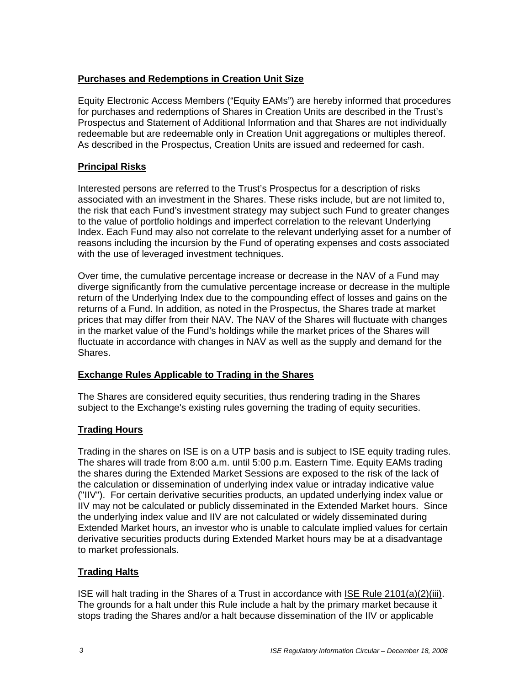# **Purchases and Redemptions in Creation Unit Size**

Equity Electronic Access Members ("Equity EAMs") are hereby informed that procedures for purchases and redemptions of Shares in Creation Units are described in the Trust's Prospectus and Statement of Additional Information and that Shares are not individually redeemable but are redeemable only in Creation Unit aggregations or multiples thereof. As described in the Prospectus, Creation Units are issued and redeemed for cash.

# **Principal Risks**

Interested persons are referred to the Trust's Prospectus for a description of risks associated with an investment in the Shares. These risks include, but are not limited to, the risk that each Fund's investment strategy may subject such Fund to greater changes to the value of portfolio holdings and imperfect correlation to the relevant Underlying Index. Each Fund may also not correlate to the relevant underlying asset for a number of reasons including the incursion by the Fund of operating expenses and costs associated with the use of leveraged investment techniques.

Over time, the cumulative percentage increase or decrease in the NAV of a Fund may diverge significantly from the cumulative percentage increase or decrease in the multiple return of the Underlying Index due to the compounding effect of losses and gains on the returns of a Fund. In addition, as noted in the Prospectus, the Shares trade at market prices that may differ from their NAV. The NAV of the Shares will fluctuate with changes in the market value of the Fund's holdings while the market prices of the Shares will fluctuate in accordance with changes in NAV as well as the supply and demand for the Shares.

# **Exchange Rules Applicable to Trading in the Shares**

The Shares are considered equity securities, thus rendering trading in the Shares subject to the Exchange's existing rules governing the trading of equity securities.

# **Trading Hours**

Trading in the shares on ISE is on a UTP basis and is subject to ISE equity trading rules. The shares will trade from 8:00 a.m. until 5:00 p.m. Eastern Time. Equity EAMs trading the shares during the Extended Market Sessions are exposed to the risk of the lack of the calculation or dissemination of underlying index value or intraday indicative value ("IIV"). For certain derivative securities products, an updated underlying index value or IIV may not be calculated or publicly disseminated in the Extended Market hours. Since the underlying index value and IIV are not calculated or widely disseminated during Extended Market hours, an investor who is unable to calculate implied values for certain derivative securities products during Extended Market hours may be at a disadvantage to market professionals.

# **Trading Halts**

ISE will halt trading in the Shares of a Trust in accordance with ISE Rule 2101(a)(2)(iii). The grounds for a halt under this Rule include a halt by the primary market because it stops trading the Shares and/or a halt because dissemination of the IIV or applicable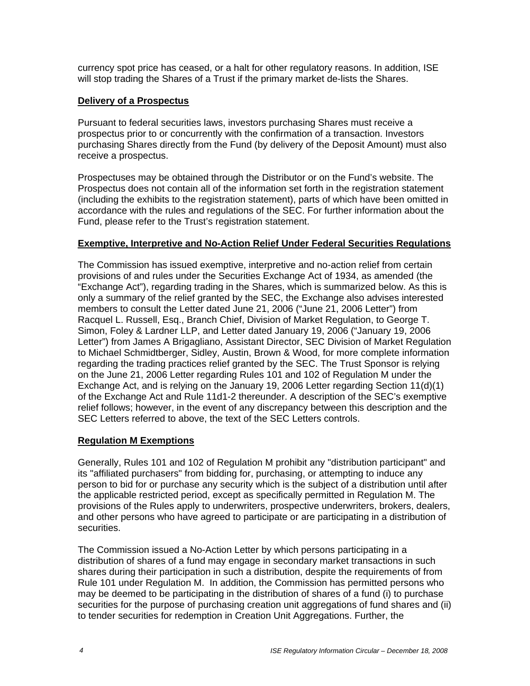currency spot price has ceased, or a halt for other regulatory reasons. In addition, ISE will stop trading the Shares of a Trust if the primary market de-lists the Shares.

# **Delivery of a Prospectus**

Pursuant to federal securities laws, investors purchasing Shares must receive a prospectus prior to or concurrently with the confirmation of a transaction. Investors purchasing Shares directly from the Fund (by delivery of the Deposit Amount) must also receive a prospectus.

Prospectuses may be obtained through the Distributor or on the Fund's website. The Prospectus does not contain all of the information set forth in the registration statement (including the exhibits to the registration statement), parts of which have been omitted in accordance with the rules and regulations of the SEC. For further information about the Fund, please refer to the Trust's registration statement.

#### **Exemptive, Interpretive and No-Action Relief Under Federal Securities Regulations**

The Commission has issued exemptive, interpretive and no-action relief from certain provisions of and rules under the Securities Exchange Act of 1934, as amended (the "Exchange Act"), regarding trading in the Shares, which is summarized below. As this is only a summary of the relief granted by the SEC, the Exchange also advises interested members to consult the Letter dated June 21, 2006 ("June 21, 2006 Letter") from Racquel L. Russell, Esq., Branch Chief, Division of Market Regulation, to George T. Simon, Foley & Lardner LLP, and Letter dated January 19, 2006 ("January 19, 2006 Letter") from James A Brigagliano, Assistant Director, SEC Division of Market Regulation to Michael Schmidtberger, Sidley, Austin, Brown & Wood, for more complete information regarding the trading practices relief granted by the SEC. The Trust Sponsor is relying on the June 21, 2006 Letter regarding Rules 101 and 102 of Regulation M under the Exchange Act, and is relying on the January 19, 2006 Letter regarding Section 11(d)(1) of the Exchange Act and Rule 11d1-2 thereunder. A description of the SEC's exemptive relief follows; however, in the event of any discrepancy between this description and the SEC Letters referred to above, the text of the SEC Letters controls.

# **Regulation M Exemptions**

Generally, Rules 101 and 102 of Regulation M prohibit any "distribution participant" and its "affiliated purchasers" from bidding for, purchasing, or attempting to induce any person to bid for or purchase any security which is the subject of a distribution until after the applicable restricted period, except as specifically permitted in Regulation M. The provisions of the Rules apply to underwriters, prospective underwriters, brokers, dealers, and other persons who have agreed to participate or are participating in a distribution of securities.

The Commission issued a No-Action Letter by which persons participating in a distribution of shares of a fund may engage in secondary market transactions in such shares during their participation in such a distribution, despite the requirements of from Rule 101 under Regulation M. In addition, the Commission has permitted persons who may be deemed to be participating in the distribution of shares of a fund (i) to purchase securities for the purpose of purchasing creation unit aggregations of fund shares and (ii) to tender securities for redemption in Creation Unit Aggregations. Further, the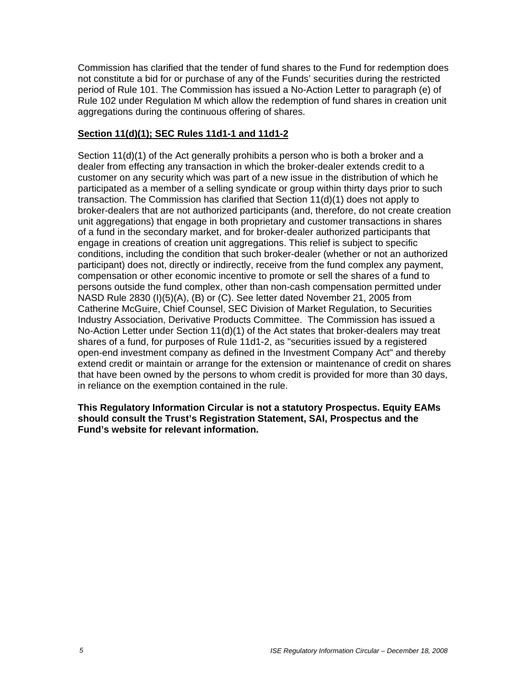Commission has clarified that the tender of fund shares to the Fund for redemption does not constitute a bid for or purchase of any of the Funds' securities during the restricted period of Rule 101. The Commission has issued a No-Action Letter to paragraph (e) of Rule 102 under Regulation M which allow the redemption of fund shares in creation unit aggregations during the continuous offering of shares.

# **Section 11(d)(1); SEC Rules 11d1-1 and 11d1-2**

Section 11(d)(1) of the Act generally prohibits a person who is both a broker and a dealer from effecting any transaction in which the broker-dealer extends credit to a customer on any security which was part of a new issue in the distribution of which he participated as a member of a selling syndicate or group within thirty days prior to such transaction. The Commission has clarified that Section 11(d)(1) does not apply to broker-dealers that are not authorized participants (and, therefore, do not create creation unit aggregations) that engage in both proprietary and customer transactions in shares of a fund in the secondary market, and for broker-dealer authorized participants that engage in creations of creation unit aggregations. This relief is subject to specific conditions, including the condition that such broker-dealer (whether or not an authorized participant) does not, directly or indirectly, receive from the fund complex any payment, compensation or other economic incentive to promote or sell the shares of a fund to persons outside the fund complex, other than non-cash compensation permitted under NASD Rule 2830 (I)(5)(A), (B) or (C). See letter dated November 21, 2005 from Catherine McGuire, Chief Counsel, SEC Division of Market Regulation, to Securities Industry Association, Derivative Products Committee. The Commission has issued a No-Action Letter under Section 11(d)(1) of the Act states that broker-dealers may treat shares of a fund, for purposes of Rule 11d1-2, as "securities issued by a registered open-end investment company as defined in the Investment Company Act" and thereby extend credit or maintain or arrange for the extension or maintenance of credit on shares that have been owned by the persons to whom credit is provided for more than 30 days, in reliance on the exemption contained in the rule.

#### **This Regulatory Information Circular is not a statutory Prospectus. Equity EAMs should consult the Trust's Registration Statement, SAI, Prospectus and the Fund's website for relevant information.**